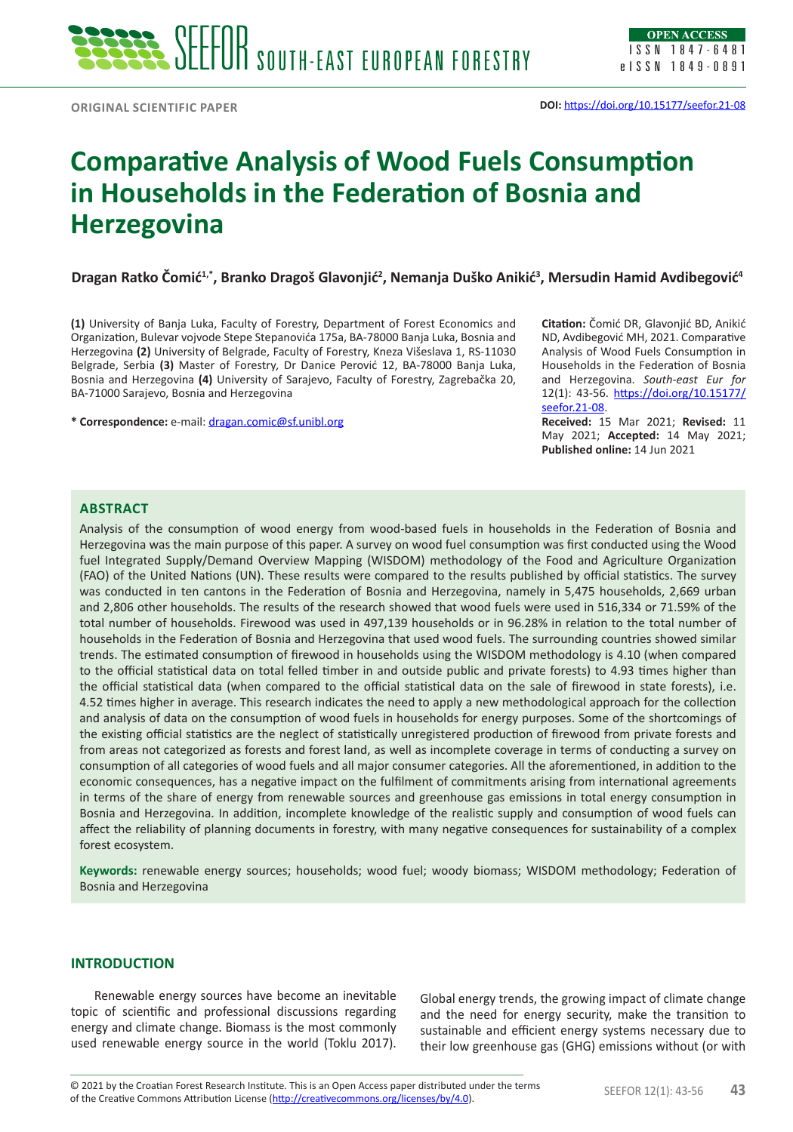# **Comparative Analysis of Wood Fuels Consumption in Households in the Federation of Bosnia and Herzegovina**

**Dragan Ratko Čomić1,\*, Branko Dragoš Glavonjić<sup>2</sup> , Nemanja Duško Anikić<sup>3</sup> , Mersudin Hamid Avdibegović<sup>4</sup>**

**(1)** University of Banja Luka, Faculty of Forestry, Department of Forest Economics and Organization, Bulevar vojvode Stepe Stepanovića 175a, BA-78000 Banja Luka, Bosnia and Herzegovina **(2)** University of Belgrade, Faculty of Forestry, Kneza Višeslava 1, RS-11030 Belgrade, Serbia **(3)** Master of Forestry*,* Dr Danice Perović 12, BA-78000 Banja Luka, Bosnia and Herzegovina **(4)** University of Sarajevo, Faculty of Forestry, Zagrebačka 20, BA-71000 Sarajevo, Bosnia and Herzegovina

**\* Correspondence:** e-mail: [dragan.comic@sf.unibl.org](mailto:dragan.comic%40sf.unibl.org?subject=)

**Citation:** Čomić DR, Glavonjić BD, Anikić ND, Avdibegović MH, 2021. Comparative Analysis of Wood Fuels Consumption in Households in the Federation of Bosnia and Herzegovina. *South-east Eur for* 12(1): 43-56. [https://doi.org/10.15177/](https://doi.org/10.15177/seefor.21-08) [seefor.21-08.](https://doi.org/10.15177/seefor.21-08)

**Received:** 15 Mar 2021; **Revised:** 11 May 2021; **Accepted:** 14 May 2021; **Published online:** 14 Jun 2021

## **ABSTRACT**

Analysis of the consumption of wood energy from wood-based fuels in households in the Federation of Bosnia and Herzegovina was the main purpose of this paper. A survey on wood fuel consumption was first conducted using the Wood fuel Integrated Supply/Demand Overview Mapping (WISDOM) methodology of the Food and Agriculture Organization (FAO) of the United Nations (UN). These results were compared to the results published by official statistics. The survey was conducted in ten cantons in the Federation of Bosnia and Herzegovina, namely in 5,475 households, 2,669 urban and 2,806 other households. The results of the research showed that wood fuels were used in 516,334 or 71.59% of the total number of households. Firewood was used in 497,139 households or in 96.28% in relation to the total number of households in the Federation of Bosnia and Herzegovina that used wood fuels. The surrounding countries showed similar trends. The estimated consumption of firewood in households using the WISDOM methodology is 4.10 (when compared to the official statistical data on total felled timber in and outside public and private forests) to 4.93 times higher than the official statistical data (when compared to the official statistical data on the sale of firewood in state forests), i.e. 4.52 times higher in average. This research indicates the need to apply a new methodological approach for the collection and analysis of data on the consumption of wood fuels in households for energy purposes. Some of the shortcomings of the existing official statistics are the neglect of statistically unregistered production of firewood from private forests and from areas not categorized as forests and forest land, as well as incomplete coverage in terms of conducting a survey on consumption of all categories of wood fuels and all major consumer categories. All the aforementioned, in addition to the economic consequences, has a negative impact on the fulfilment of commitments arising from international agreements in terms of the share of energy from renewable sources and greenhouse gas emissions in total energy consumption in Bosnia and Herzegovina. In addition, incomplete knowledge of the realistic supply and consumption of wood fuels can affect the reliability of planning documents in forestry, with many negative consequences for sustainability of a complex forest ecosystem.

**Keywords:** renewable energy sources; households; wood fuel; woody biomass; WISDOM methodology; Federation of Bosnia and Herzegovina

# **INTRODUCTION**

Renewable energy sources have become an inevitable topic of scientific and professional discussions regarding energy and climate change. Biomass is the most commonly used renewable energy source in the world (Toklu 2017).

Global energy trends, the growing impact of climate change and the need for energy security, make the transition to sustainable and efficient energy systems necessary due to their low greenhouse gas (GHG) emissions without (or with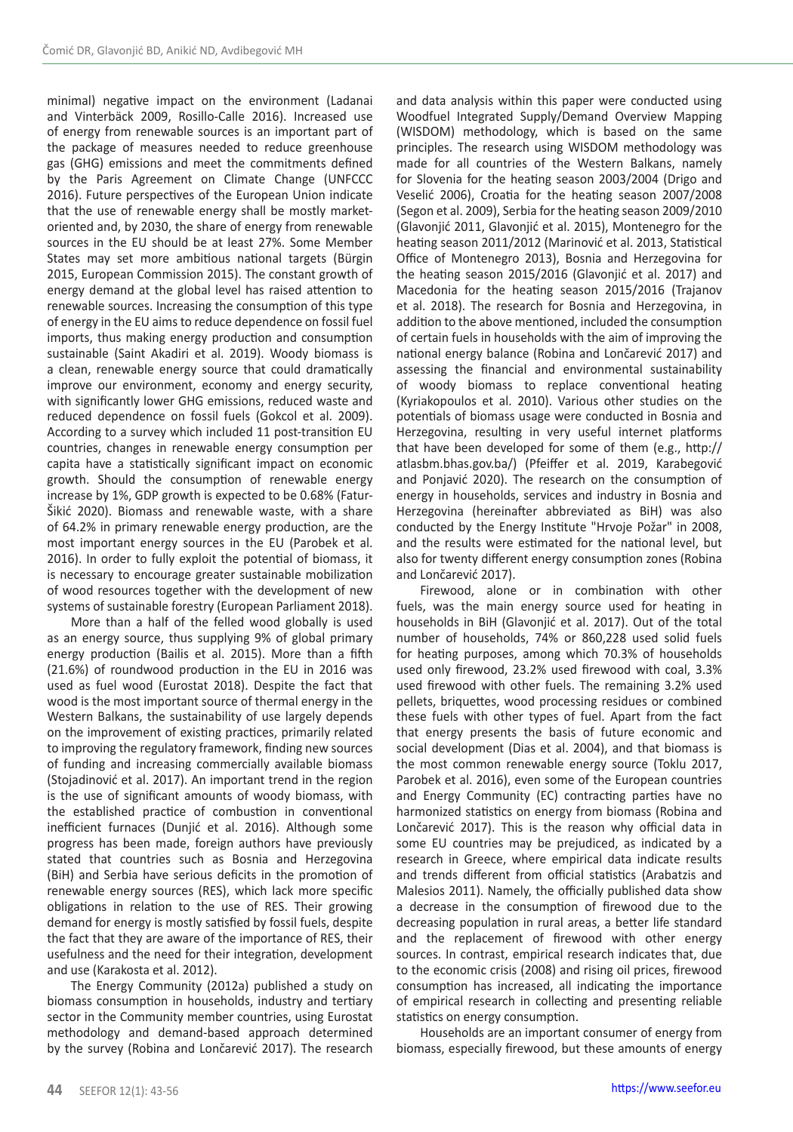minimal) negative impact on the environment (Ladanai and Vinterbäck 2009, Rosillo‐Calle 2016). Increased use of energy from renewable sources is an important part of the package of measures needed to reduce greenhouse gas (GHG) emissions and meet the commitments defined by the Paris Agreement on Climate Change (UNFCCC 2016). Future perspectives of the European Union indicate that the use of renewable energy shall be mostly marketoriented and, by 2030, the share of energy from renewable sources in the EU should be at least 27%. Some Member States may set more ambitious national targets (Bürgin 2015, European Commission 2015). The constant growth of energy demand at the global level has raised attention to renewable sources. Increasing the consumption of this type of energy in the EU aims to reduce dependence on fossil fuel imports, thus making energy production and consumption sustainable (Saint Akadiri et al. 2019). Woody biomass is a clean, renewable energy source that could dramatically improve our environment, economy and energy security, with significantly lower GHG emissions, reduced waste and reduced dependence on fossil fuels (Gokcol et al. 2009). According to a survey which included 11 post-transition EU countries, changes in renewable energy consumption per capita have a statistically significant impact on economic growth. Should the consumption of renewable energy increase by 1%, GDP growth is expected to be 0.68% (Fatur-Šikić 2020). Biomass and renewable waste, with a share of 64.2% in primary renewable energy production, are the most important energy sources in the EU (Parobek et al. 2016). In order to fully exploit the potential of biomass, it is necessary to encourage greater sustainable mobilization of wood resources together with the development of new systems of sustainable forestry (European Parliament 2018).

More than a half of the felled wood globally is used as an energy source, thus supplying 9% of global primary energy production (Bailis et al. 2015). More than a fifth (21.6%) of roundwood production in the EU in 2016 was used as fuel wood (Eurostat 2018). Despite the fact that wood is the most important source of thermal energy in the Western Balkans, the sustainability of use largely depends on the improvement of existing practices, primarily related to improving the regulatory framework, finding new sources of funding and increasing commercially available biomass (Stojadinović et al. 2017). An important trend in the region is the use of significant amounts of woody biomass, with the established practice of combustion in conventional inefficient furnaces (Dunjić et al. 2016). Although some progress has been made, foreign authors have previously stated that countries such as Bosnia and Herzegovina (BiH) and Serbia have serious deficits in the promotion of renewable energy sources (RES), which lack more specific obligations in relation to the use of RES. Their growing demand for energy is mostly satisfied by fossil fuels, despite the fact that they are aware of the importance of RES, their usefulness and the need for their integration, development and use (Karakosta et al. 2012).

The Energy Community (2012a) published a study on biomass consumption in households, industry and tertiary sector in the Community member countries, using Eurostat methodology and demand-based approach determined by the survey (Robina and Lončarević 2017). The research and data analysis within this paper were conducted using Woodfuel Integrated Supply/Demand Overview Mapping (WISDOM) methodology, which is based on the same principles. The research using WISDOM methodology was made for all countries of the Western Balkans, namely for Slovenia for the heating season 2003/2004 (Drigo and Veselić 2006), Croatia for the heating season 2007/2008 (Segon et al. 2009), Serbia for the heating season 2009/2010 (Glavonjić 2011, Glavonjić et al. 2015), Montenegro for the heating season 2011/2012 (Marinović et al. 2013, Statistical Office of Montenegro 2013), Bosnia and Herzegovina for the heating season 2015/2016 (Glavonjić et al. 2017) and Macedonia for the heating season 2015/2016 (Trajanov et al. 2018). The research for Bosnia and Herzegovina, in addition to the above mentioned, included the consumption of certain fuels in households with the aim of improving the national energy balance (Robina and Lončarević 2017) and assessing the financial and environmental sustainability of woody biomass to replace conventional heating (Kyriakopoulos et al. 2010). Various other studies on the potentials of biomass usage were conducted in Bosnia and Herzegovina, resulting in very useful internet platforms that have been developed for some of them (e.g., http:// atlasbm.bhas.gov.ba/) (Pfeiffer et al. 2019, Karabegović and Ponjavić 2020). The research on the consumption of energy in households, services and industry in Bosnia and Herzegovina (hereinafter abbreviated as BiH) was also conducted by the Energy Institute "Hrvoje Požar" in 2008, and the results were estimated for the national level, but also for twenty different energy consumption zones (Robina and Lončarević 2017).

Firewood, alone or in combination with other fuels, was the main energy source used for heating in households in BiH (Glavoniić et al. 2017). Out of the total number of households, 74% or 860,228 used solid fuels for heating purposes, among which 70.3% of households used only firewood, 23.2% used firewood with coal, 3.3% used firewood with other fuels. The remaining 3.2% used pellets, briquettes, wood processing residues or combined these fuels with other types of fuel. Apart from the fact that energy presents the basis of future economic and social development (Dias et al. 2004), and that biomass is the most common renewable energy source (Toklu 2017, Parobek et al. 2016), even some of the European countries and Energy Community (EC) contracting parties have no harmonized statistics on energy from biomass (Robina and Lončarević 2017). This is the reason why official data in some EU countries may be prejudiced, as indicated by a research in Greece, where empirical data indicate results and trends different from official statistics (Arabatzis and Malesios 2011). Namely, the officially published data show a decrease in the consumption of firewood due to the decreasing population in rural areas, a better life standard and the replacement of firewood with other energy sources. In contrast, empirical research indicates that, due to the economic crisis (2008) and rising oil prices, firewood consumption has increased, all indicating the importance of empirical research in collecting and presenting reliable statistics on energy consumption.

Households are an important consumer of energy from biomass, especially firewood, but these amounts of energy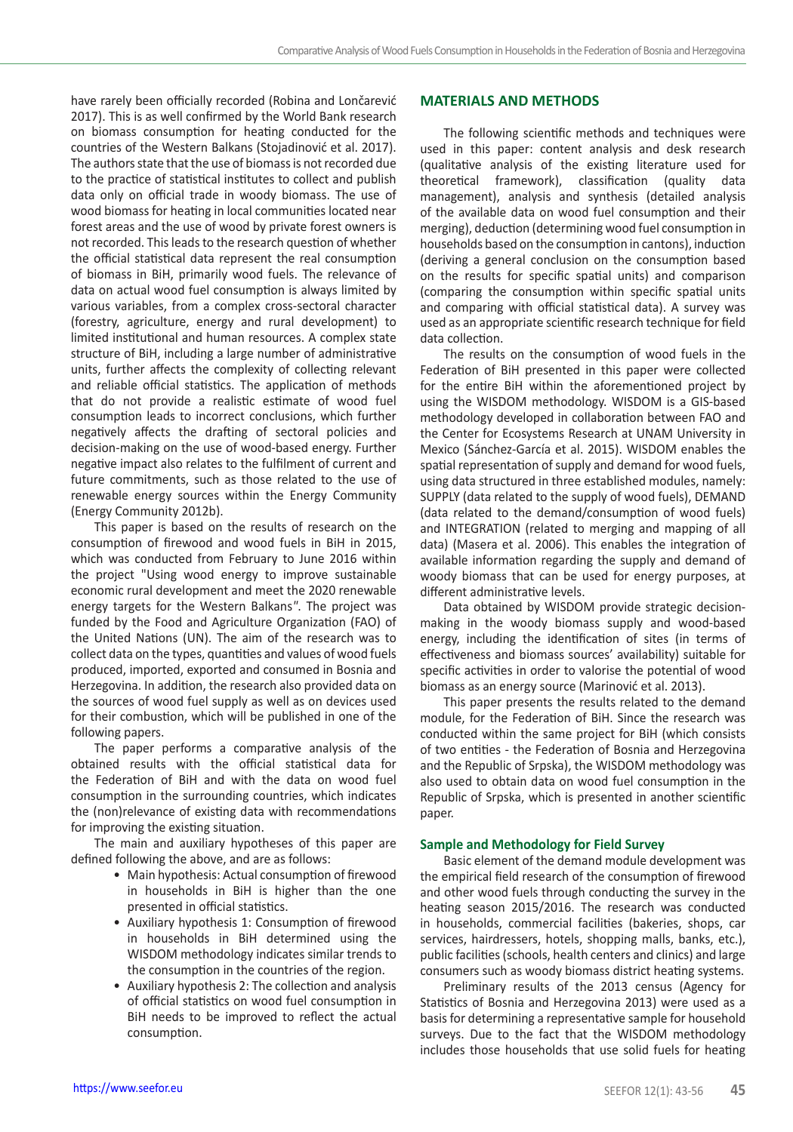have rarely been officially recorded (Robina and Lončarević 2017). This is as well confirmed by the World Bank research on biomass consumption for heating conducted for the countries of the Western Balkans (Stojadinović et al. 2017). The authors state that the use of biomass is not recorded due to the practice of statistical institutes to collect and publish data only on official trade in woody biomass. The use of wood biomass for heating in local communities located near forest areas and the use of wood by private forest owners is not recorded. This leads to the research question of whether the official statistical data represent the real consumption of biomass in BiH, primarily wood fuels. The relevance of data on actual wood fuel consumption is always limited by various variables, from a complex cross-sectoral character (forestry, agriculture, energy and rural development) to limited institutional and human resources. A complex state structure of BiH, including a large number of administrative units, further affects the complexity of collecting relevant and reliable official statistics. The application of methods that do not provide a realistic estimate of wood fuel consumption leads to incorrect conclusions, which further negatively affects the drafting of sectoral policies and decision-making on the use of wood-based energy. Further negative impact also relates to the fulfilment of current and future commitments, such as those related to the use of renewable energy sources within the Energy Community (Energy Community 2012b).

This paper is based on the results of research on the consumption of firewood and wood fuels in BiH in 2015, which was conducted from February to June 2016 within the project "Using wood energy to improve sustainable economic rural development and meet the 2020 renewable energy targets for the Western Balkans*"*. The project was funded by the Food and Agriculture Organization (FAO) of the United Nations (UN). The aim of the research was to collect data on the types, quantities and values of wood fuels produced, imported, exported and consumed in Bosnia and Herzegovina. In addition, the research also provided data on the sources of wood fuel supply as well as on devices used for their combustion, which will be published in one of the following papers.

The paper performs a comparative analysis of the obtained results with the official statistical data for the Federation of BiH and with the data on wood fuel consumption in the surrounding countries, which indicates the (non)relevance of existing data with recommendations for improving the existing situation.

The main and auxiliary hypotheses of this paper are defined following the above, and are as follows:

- Main hypothesis: Actual consumption of firewood in households in BiH is higher than the one presented in official statistics.
- Auxiliary hypothesis 1: Consumption of firewood in households in BiH determined using the WISDOM methodology indicates similar trends to the consumption in the countries of the region.
- Auxiliary hypothesis 2: The collection and analysis of official statistics on wood fuel consumption in BiH needs to be improved to reflect the actual consumption.

## **MATERIALS AND METHODS**

The following scientific methods and techniques were used in this paper: content analysis and desk research (qualitative analysis of the existing literature used for theoretical framework), classification (quality data management), analysis and synthesis (detailed analysis of the available data on wood fuel consumption and their merging), deduction (determining wood fuel consumption in households based on the consumption in cantons), induction (deriving a general conclusion on the consumption based on the results for specific spatial units) and comparison (comparing the consumption within specific spatial units and comparing with official statistical data). A survey was used as an appropriate scientific research technique for field data collection.

The results on the consumption of wood fuels in the Federation of BiH presented in this paper were collected for the entire BiH within the aforementioned project by using the WISDOM methodology. WISDOM is a GIS-based methodology developed in collaboration between FAO and the Center for Ecosystems Research at UNAM University in Mexico (Sánchez-García et al. 2015). WISDOM enables the spatial representation of supply and demand for wood fuels, using data structured in three established modules, namely: SUPPLY (data related to the supply of wood fuels), DEMAND (data related to the demand/consumption of wood fuels) and INTEGRATION (related to merging and mapping of all data) (Masera et al. 2006). This enables the integration of available information regarding the supply and demand of woody biomass that can be used for energy purposes, at different administrative levels.

Data obtained by WISDOM provide strategic decisionmaking in the woody biomass supply and wood-based energy, including the identification of sites (in terms of effectiveness and biomass sources' availability) suitable for specific activities in order to valorise the potential of wood biomass as an energy source (Marinović et al. 2013).

This paper presents the results related to the demand module, for the Federation of BiH. Since the research was conducted within the same project for BiH (which consists of two entities - the Federation of Bosnia and Herzegovina and the Republic of Srpska), the WISDOM methodology was also used to obtain data on wood fuel consumption in the Republic of Srpska, which is presented in another scientific paper.

### **Sample and Methodology for Field Survey**

Basic element of the demand module development was the empirical field research of the consumption of firewood and other wood fuels through conducting the survey in the heating season 2015/2016. The research was conducted in households, commercial facilities (bakeries, shops, car services, hairdressers, hotels, shopping malls, banks, etc.), public facilities (schools, health centers and clinics) and large consumers such as woody biomass district heating systems.

Preliminary results of the 2013 census (Agency for Statistics of Bosnia and Herzegovina 2013) were used as a basis for determining a representative sample for household surveys. Due to the fact that the WISDOM methodology includes those households that use solid fuels for heating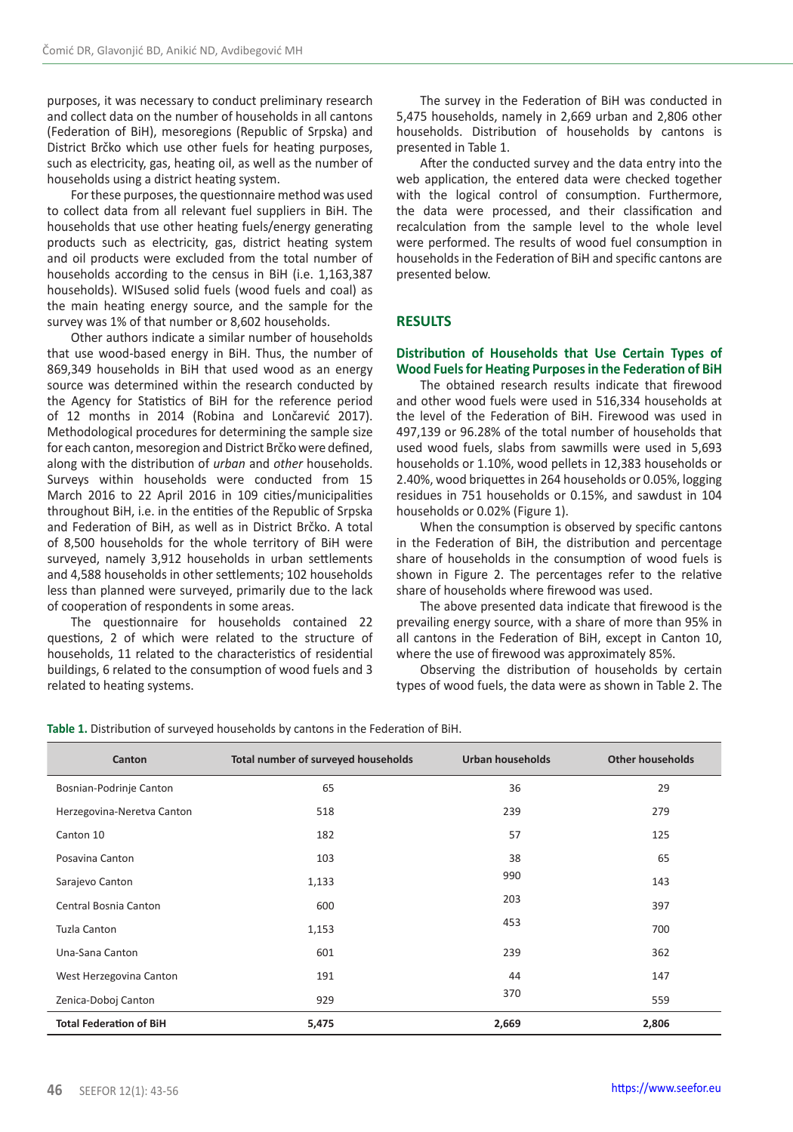purposes, it was necessary to conduct preliminary research and collect data on the number of households in all cantons (Federation of BiH), mesoregions (Republic of Srpska) and District Brčko which use other fuels for heating purposes, such as electricity, gas, heating oil, as well as the number of households using a district heating system.

For these purposes, the questionnaire method was used to collect data from all relevant fuel suppliers in BiH. The households that use other heating fuels/energy generating products such as electricity, gas, district heating system and oil products were excluded from the total number of households according to the census in BiH (i.e. 1,163,387 households). WISused solid fuels (wood fuels and coal) as the main heating energy source, and the sample for the survey was 1% of that number or 8,602 households.

Other authors indicate a similar number of households that use wood-based energy in BiH. Thus, the number of 869,349 households in BiH that used wood as an energy source was determined within the research conducted by the Agency for Statistics of BiH for the reference period of 12 months in 2014 (Robina and Lončarević 2017). Methodological procedures for determining the sample size for each canton, mesoregion and District Brčko were defined, along with the distribution of *urban* and *other* households. Surveys within households were conducted from 15 March 2016 to 22 April 2016 in 109 cities/municipalities throughout BiH, i.e. in the entities of the Republic of Srpska and Federation of BiH, as well as in District Brčko. A total of 8,500 households for the whole territory of BiH were surveyed, namely 3,912 households in urban settlements and 4,588 households in other settlements; 102 households less than planned were surveyed, primarily due to the lack of cooperation of respondents in some areas.

The questionnaire for households contained 22 questions, 2 of which were related to the structure of households, 11 related to the characteristics of residential buildings, 6 related to the consumption of wood fuels and 3 related to heating systems.

The survey in the Federation of BiH was conducted in 5,475 households, namely in 2,669 urban and 2,806 other households. Distribution of households by cantons is presented in Table 1.

After the conducted survey and the data entry into the web application, the entered data were checked together with the logical control of consumption. Furthermore, the data were processed, and their classification and recalculation from the sample level to the whole level were performed. The results of wood fuel consumption in households in the Federation of BiH and specific cantons are presented below.

# **RESULTS**

## **Distribution of Households that Use Certain Types of Wood Fuels for Heating Purposes in the Federation of BiH**

The obtained research results indicate that firewood and other wood fuels were used in 516,334 households at the level of the Federation of BiH. Firewood was used in 497,139 or 96.28% of the total number of households that used wood fuels, slabs from sawmills were used in 5,693 households or 1.10%, wood pellets in 12,383 households or 2.40%, wood briquettes in 264 households or 0.05%, logging residues in 751 households or 0.15%, and sawdust in 104 households or 0.02% (Figure 1).

When the consumption is observed by specific cantons in the Federation of BiH, the distribution and percentage share of households in the consumption of wood fuels is shown in Figure 2. The percentages refer to the relative share of households where firewood was used.

The above presented data indicate that firewood is the prevailing energy source, with a share of more than 95% in all cantons in the Federation of BiH, except in Canton 10, where the use of firewood was approximately 85%.

Observing the distribution of households by certain types of wood fuels, the data were as shown in Table 2. The

| Canton                         | Total number of surveyed households | <b>Urban households</b> | <b>Other households</b> |  |
|--------------------------------|-------------------------------------|-------------------------|-------------------------|--|
| Bosnian-Podrinje Canton        | 65                                  | 36                      | 29                      |  |
| Herzegovina-Neretva Canton     | 518                                 | 239                     | 279                     |  |
| Canton 10                      | 182                                 | 57                      | 125                     |  |
| Posavina Canton                | 103                                 | 38                      | 65                      |  |
| Sarajevo Canton                | 1,133                               | 990                     | 143                     |  |
| Central Bosnia Canton          | 600                                 | 203                     | 397                     |  |
| Tuzla Canton                   | 1,153                               | 453                     | 700                     |  |
| Una-Sana Canton                | 601                                 | 239                     | 362                     |  |
| West Herzegovina Canton        | 191                                 | 44                      | 147                     |  |
| Zenica-Doboj Canton            | 929                                 | 370                     | 559                     |  |
| <b>Total Federation of BiH</b> | 5,475                               | 2,669                   | 2,806                   |  |

**Table 1.** Distribution of surveyed households by cantons in the Federation of BiH.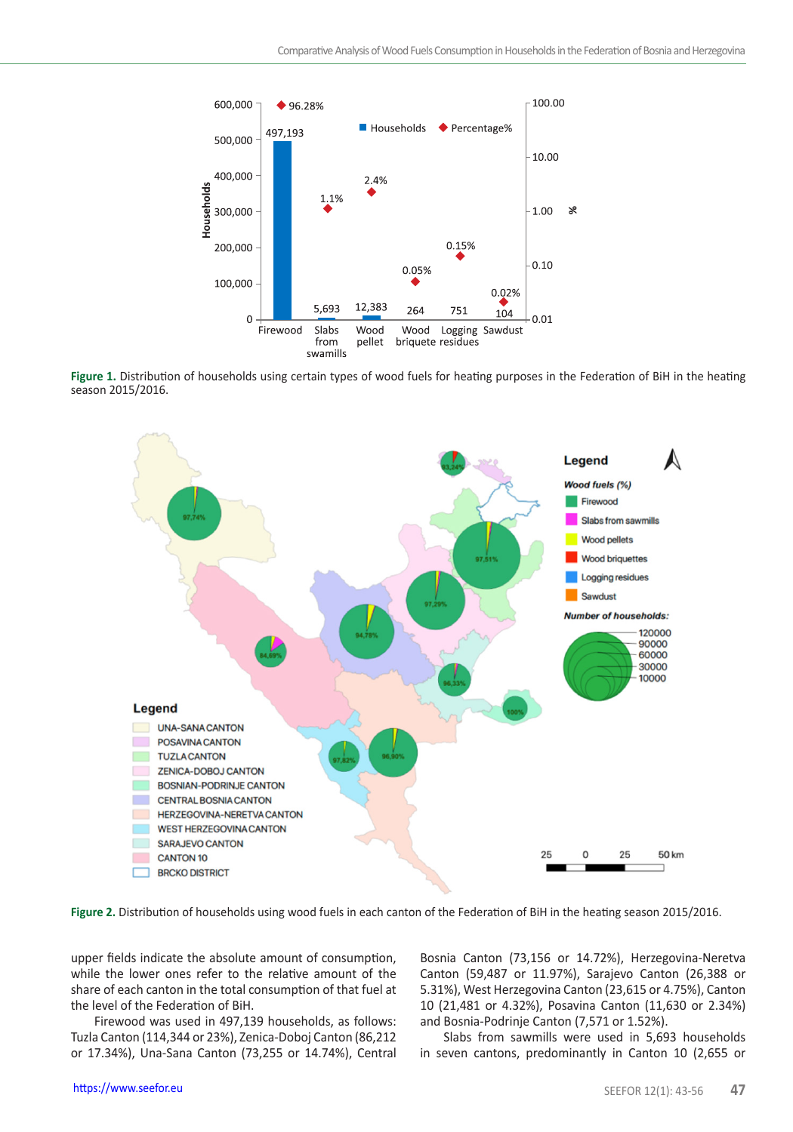

**Figure 1.** Distribution of households using certain types of wood fuels for heating purposes in the Federation of BiH in the heating season 2015/2016.



**Figure 2.** Distribution of households using wood fuels in each canton of the Federation of BiH in the heating season 2015/2016.

upper fields indicate the absolute amount of consumption, while the lower ones refer to the relative amount of the share of each canton in the total consumption of that fuel at the level of the Federation of BiH.

Firewood was used in 497,139 households, as follows: Tuzla Canton (114,344 or 23%), Zenica-Doboj Canton (86,212 or 17.34%), Una-Sana Canton (73,255 or 14.74%), Central

Bosnia Canton (73,156 or 14.72%), Herzegovina-Neretva Canton (59,487 or 11.97%), Sarajevo Canton (26,388 or 5.31%), West Herzegovina Canton (23,615 or 4.75%), Canton 10 (21,481 or 4.32%), Posavina Canton (11,630 or 2.34%) and Bosnia-Podrinje Canton (7,571 or 1.52%).

Slabs from sawmills were used in 5,693 households in seven cantons, predominantly in Canton 10 (2,655 or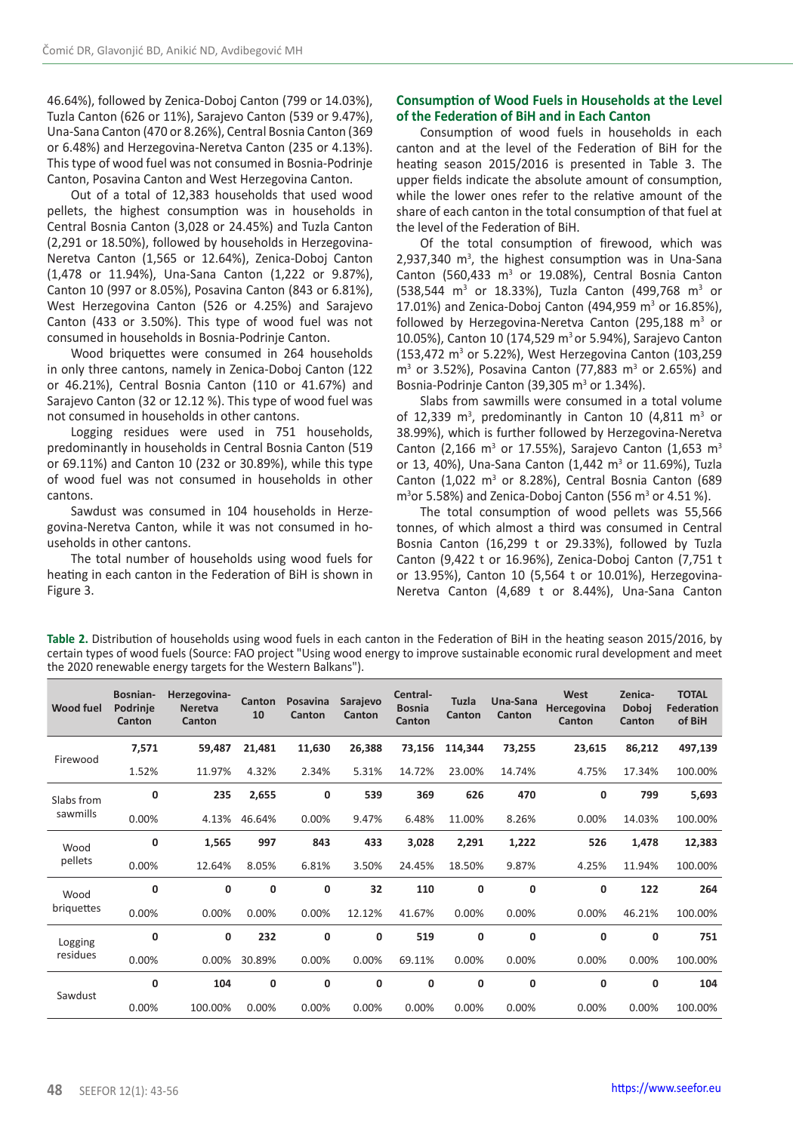46.64%), followed by Zenica-Doboj Canton (799 or 14.03%), Tuzla Canton (626 or 11%), Sarajevo Canton (539 or 9.47%), Una-Sana Canton (470 or 8.26%), Central Bosnia Canton (369 or 6.48%) and Herzegovina-Neretva Canton (235 or 4.13%). This type of wood fuel was not consumed in Bosnia-Podrinje Canton, Posavina Canton and West Herzegovina Canton.

Out of a total of 12,383 households that used wood pellets, the highest consumption was in households in Central Bosnia Canton (3,028 or 24.45%) and Tuzla Canton (2,291 or 18.50%), followed by households in Herzegovina-Neretva Canton (1,565 or 12.64%), Zenica-Doboj Canton (1,478 or 11.94%), Una-Sana Canton (1,222 or 9.87%), Canton 10 (997 or 8.05%), Posavina Canton (843 or 6.81%), West Herzegovina Canton (526 or 4.25%) and Sarajevo Canton (433 or 3.50%). This type of wood fuel was not consumed in households in Bosnia-Podrinje Canton.

Wood briquettes were consumed in 264 households in only three cantons, namely in Zenica-Doboj Canton (122 or 46.21%), Central Bosnia Canton (110 or 41.67%) and Sarajevo Canton (32 or 12.12 %). This type of wood fuel was not consumed in households in other cantons.

Logging residues were used in 751 households, predominantly in households in Central Bosnia Canton (519 or 69.11%) and Canton 10 (232 or 30.89%), while this type of wood fuel was not consumed in households in other cantons.

Sawdust was consumed in 104 households in Herzegovina-Neretva Canton, while it was not consumed in households in other cantons.

The total number of households using wood fuels for heating in each canton in the Federation of BiH is shown in Figure 3.

## **Consumption of Wood Fuels in Households at the Level of the Federation of BiH and in Each Canton**

Consumption of wood fuels in households in each canton and at the level of the Federation of BiH for the heating season 2015/2016 is presented in Table 3. The upper fields indicate the absolute amount of consumption, while the lower ones refer to the relative amount of the share of each canton in the total consumption of that fuel at the level of the Federation of BiH.

Of the total consumption of firewood, which was  $2,937,340$  m<sup>3</sup>, the highest consumption was in Una-Sana Canton (560,433  $m<sup>3</sup>$  or 19.08%), Central Bosnia Canton  $(538,544 \text{ m}^3 \text{ or } 18.33\%)$ , Tuzla Canton  $(499,768 \text{ m}^3 \text{ or } 18.33\%)$ 17.01%) and Zenica-Doboj Canton (494,959 m<sup>3</sup> or 16.85%), followed by Herzegovina-Neretva Canton (295,188  $m<sup>3</sup>$  or 10.05%), Canton 10 (174,529 m<sup>3</sup> or 5.94%), Sarajevo Canton (153,472 m<sup>3</sup> or 5.22%), West Herzegovina Canton (103,259  $m<sup>3</sup>$  or 3.52%), Posavina Canton (77,883  $m<sup>3</sup>$  or 2.65%) and Bosnia-Podrinje Canton (39,305  $m<sup>3</sup>$  or 1.34%).

Slabs from sawmills were consumed in a total volume of 12,339  $m<sup>3</sup>$ , predominantly in Canton 10 (4,811  $m<sup>3</sup>$  or 38.99%), which is further followed by Herzegovina-Neretva Canton (2,166 m<sup>3</sup> or 17.55%), Sarajevo Canton (1,653 m<sup>3</sup> or 13, 40%), Una-Sana Canton  $(1,442 \text{ m}^3 \text{ or } 11.69\%)$ , Tuzla Canton (1,022  $m<sup>3</sup>$  or 8.28%), Central Bosnia Canton (689  $m<sup>3</sup>$ or 5.58%) and Zenica-Doboj Canton (556 m<sup>3</sup> or 4.51 %).

The total consumption of wood pellets was 55,566 tonnes, of which almost a third was consumed in Central Bosnia Canton (16,299 t or 29.33%), followed by Tuzla Canton (9,422 t or 16.96%), Zenica-Doboj Canton (7,751 t or 13.95%), Canton 10 (5,564 t or 10.01%), Herzegovina-Neretva Canton (4,689 t or 8.44%), Una-Sana Canton

**Table 2.** Distribution of households using wood fuels in each canton in the Federation of BiH in the heating season 2015/2016, by certain types of wood fuels (Source: FAO project "Using wood energy to improve sustainable economic rural development and meet the 2020 renewable energy targets for the Western Balkans").

| Wood fuel              | Bosnian-<br>Podrinie<br>Canton | Herzegovina-<br><b>Neretva</b><br>Canton | Canton<br>10 | Posavina<br>Canton | Sarajevo<br>Canton | Central-<br><b>Bosnia</b><br>Canton | Tuzla<br>Canton | Una-Sana<br>Canton | West<br>Hercegovina<br>Canton | Zenica-<br>Doboj<br>Canton | <b>TOTAL</b><br><b>Federation</b><br>of BiH |
|------------------------|--------------------------------|------------------------------------------|--------------|--------------------|--------------------|-------------------------------------|-----------------|--------------------|-------------------------------|----------------------------|---------------------------------------------|
| Firewood               | 7,571                          | 59,487                                   | 21,481       | 11,630             | 26,388             | 73,156                              | 114,344         | 73,255             | 23,615                        | 86,212                     | 497,139                                     |
|                        | 1.52%                          | 11.97%                                   | 4.32%        | 2.34%              | 5.31%              | 14.72%                              | 23.00%          | 14.74%             | 4.75%                         | 17.34%                     | 100.00%                                     |
| Slabs from<br>sawmills | 0                              | 235                                      | 2,655        | 0                  | 539                | 369                                 | 626             | 470                | 0                             | 799                        | 5,693                                       |
|                        | 0.00%                          | 4.13%                                    | 46.64%       | 0.00%              | 9.47%              | 6.48%                               | 11.00%          | 8.26%              | 0.00%                         | 14.03%                     | 100.00%                                     |
| Wood<br>pellets        | 0                              | 1,565                                    | 997          | 843                | 433                | 3,028                               | 2,291           | 1,222              | 526                           | 1,478                      | 12,383                                      |
|                        | 0.00%                          | 12.64%                                   | 8.05%        | 6.81%              | 3.50%              | 24.45%                              | 18.50%          | 9.87%              | 4.25%                         | 11.94%                     | 100.00%                                     |
| Wood<br>briquettes     | 0                              | 0                                        | 0            | 0                  | 32                 | 110                                 | 0               | 0                  | 0                             | 122                        | 264                                         |
|                        | 0.00%                          | 0.00%                                    | 0.00%        | 0.00%              | 12.12%             | 41.67%                              | 0.00%           | 0.00%              | 0.00%                         | 46.21%                     | 100.00%                                     |
| Logging<br>residues    | 0                              | 0                                        | 232          | 0                  | 0                  | 519                                 | 0               | 0                  | 0                             | 0                          | 751                                         |
|                        | 0.00%                          | 0.00%                                    | 30.89%       | 0.00%              | 0.00%              | 69.11%                              | 0.00%           | 0.00%              | 0.00%                         | 0.00%                      | 100.00%                                     |
| Sawdust                | 0                              | 104                                      | 0            | 0                  | 0                  | 0                                   | 0               | 0                  | 0                             | 0                          | 104                                         |
|                        | 0.00%                          | 100.00%                                  | 0.00%        | 0.00%              | 0.00%              | 0.00%                               | 0.00%           | 0.00%              | 0.00%                         | 0.00%                      | 100.00%                                     |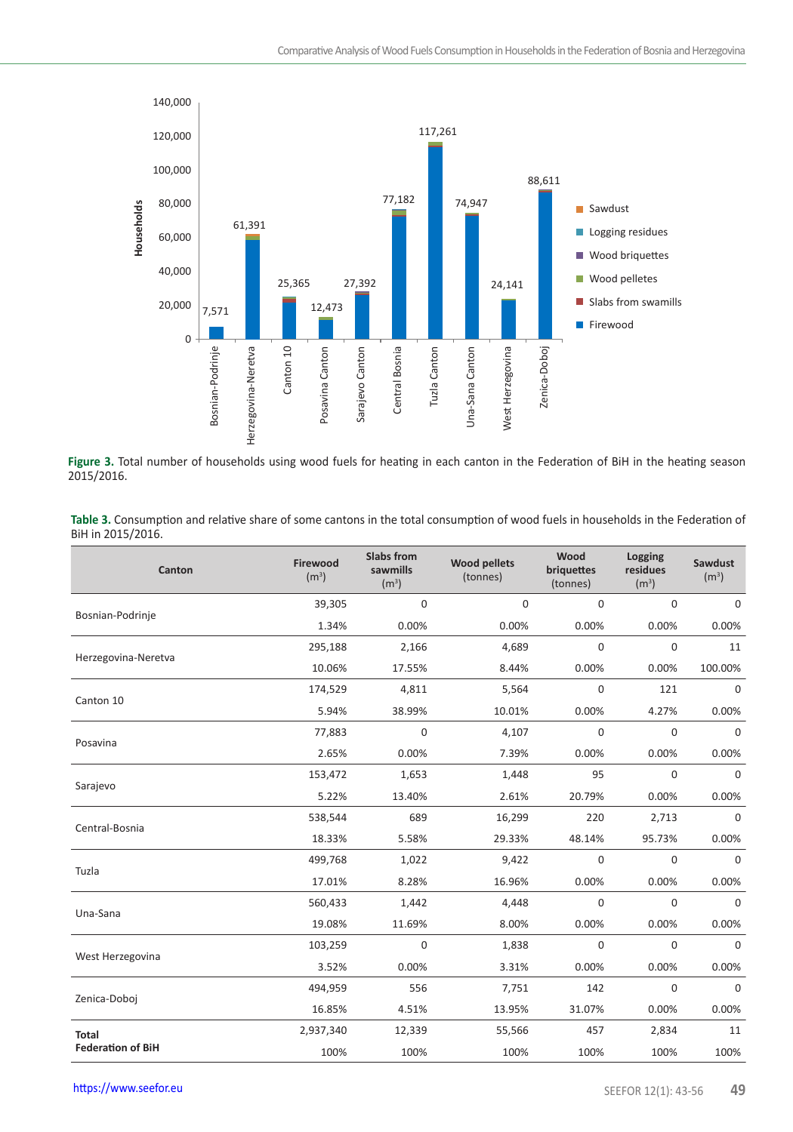

**Figure 3.** Total number of households using wood fuels for heating in each canton in the Federation of BiH in the heating season 2015/2016.

| Table 3. Consumption and relative share of some cantons in the total consumption of wood fuels in households in the Federation of |
|-----------------------------------------------------------------------------------------------------------------------------------|
| BiH in 2015/2016.                                                                                                                 |

| Canton                   | Firewood<br>(m <sup>3</sup> ) | <b>Slabs from</b><br>sawmills<br>(m <sup>3</sup> ) | <b>Wood pellets</b><br>(tonnes) | Wood<br>briquettes<br>(tonnes) | Logging<br>residues<br>(m <sup>3</sup> ) | Sawdust<br>(m <sup>3</sup> ) |
|--------------------------|-------------------------------|----------------------------------------------------|---------------------------------|--------------------------------|------------------------------------------|------------------------------|
| Bosnian-Podrinje         | 39,305                        | 0                                                  | 0                               | $\Omega$                       | 0                                        | $\mathbf 0$                  |
|                          | 1.34%                         | 0.00%                                              | 0.00%                           | 0.00%                          | 0.00%                                    | 0.00%                        |
| Herzegovina-Neretva      | 295,188                       | 2,166                                              | 4,689                           | $\mathbf 0$                    | $\mathbf 0$                              | 11                           |
|                          | 10.06%                        | 17.55%                                             | 8.44%                           | 0.00%                          | 0.00%                                    | 100.00%                      |
| Canton 10                | 174,529                       | 4,811                                              | 5,564                           | $\mathbf 0$                    | 121                                      | $\mathbf 0$                  |
|                          | 5.94%                         | 38.99%                                             | 10.01%                          | 0.00%                          | 4.27%                                    | 0.00%                        |
| Posavina                 | 77,883                        | $\mathbf 0$                                        | 4,107                           | $\mathbf 0$                    | $\mathbf 0$                              | $\mathbf 0$                  |
|                          | 2.65%                         | 0.00%                                              | 7.39%                           | 0.00%                          | 0.00%                                    | 0.00%                        |
|                          | 153,472                       | 1,653                                              | 1,448                           | 95                             | $\Omega$                                 | $\mathbf 0$                  |
| Sarajevo                 | 5.22%                         | 13.40%                                             | 2.61%                           | 20.79%                         | 0.00%                                    | 0.00%                        |
| Central-Bosnia           | 538,544                       | 689                                                | 16,299                          | 220                            | 2,713                                    | $\mathbf 0$                  |
|                          | 18.33%                        | 5.58%                                              | 29.33%                          | 48.14%                         | 95.73%                                   | 0.00%                        |
| Tuzla                    | 499,768                       | 1,022                                              | 9,422                           | $\Omega$                       | $\mathbf 0$                              | $\mathbf 0$                  |
|                          | 17.01%                        | 8.28%                                              | 16.96%                          | 0.00%                          | 0.00%                                    | 0.00%                        |
| Una-Sana                 | 560,433                       | 1,442                                              | 4,448                           | $\mathbf 0$                    | 0                                        | $\mathbf 0$                  |
|                          | 19.08%                        | 11.69%                                             | 8.00%                           | 0.00%                          | 0.00%                                    | 0.00%                        |
|                          | 103,259                       | $\mathbf 0$                                        | 1,838                           | $\Omega$                       | $\Omega$                                 | 0                            |
| West Herzegovina         | 3.52%                         | 0.00%                                              | 3.31%                           | 0.00%                          | 0.00%                                    | 0.00%                        |
|                          | 494,959                       | 556                                                | 7,751                           | 142                            | $\mathbf 0$                              | $\mathbf 0$                  |
| Zenica-Doboj             | 16.85%                        | 4.51%                                              | 13.95%                          | 31.07%                         | 0.00%                                    | 0.00%                        |
| Total                    | 2,937,340                     | 12,339                                             | 55,566                          | 457                            | 2,834                                    | 11                           |
| <b>Federation of BiH</b> | 100%                          | 100%                                               | 100%                            | 100%                           | 100%                                     | 100%                         |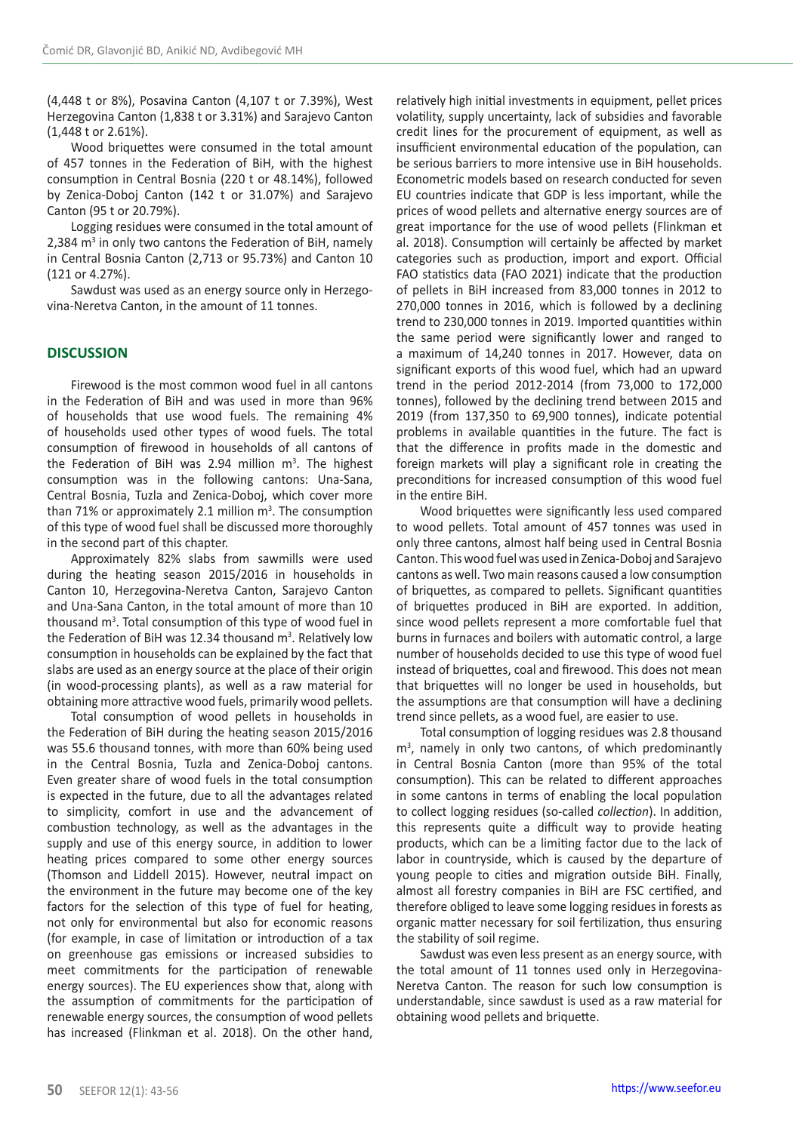(4,448 t or 8%), Posavina Canton (4,107 t or 7.39%), West Herzegovina Canton (1,838 t or 3.31%) and Sarajevo Canton (1,448 t or 2.61%).

Wood briquettes were consumed in the total amount of 457 tonnes in the Federation of BiH, with the highest consumption in Central Bosnia (220 t or 48.14%), followed by Zenica-Doboj Canton (142 t or 31.07%) and Sarajevo Canton (95 t or 20.79%).

Logging residues were consumed in the total amount of 2,384 m<sup>3</sup> in only two cantons the Federation of BiH, namely in Central Bosnia Canton (2,713 or 95.73%) and Canton 10 (121 or 4.27%).

Sawdust was used as an energy source only in Herzegovina-Neretva Canton, in the amount of 11 tonnes.

# **DISCUSSION**

Firewood is the most common wood fuel in all cantons in the Federation of BiH and was used in more than 96% of households that use wood fuels. The remaining 4% of households used other types of wood fuels. The total consumption of firewood in households of all cantons of the Federation of BiH was 2.94 million m<sup>3</sup>. The highest consumption was in the following cantons: Una-Sana, Central Bosnia, Tuzla and Zenica-Doboj, which cover more than 71% or approximately 2.1 million  $m^3$ . The consumption of this type of wood fuel shall be discussed more thoroughly in the second part of this chapter.

Approximately 82% slabs from sawmills were used during the heating season 2015/2016 in households in Canton 10, Herzegovina-Neretva Canton, Sarajevo Canton and Una-Sana Canton, in the total amount of more than 10 thousand m<sup>3</sup>. Total consumption of this type of wood fuel in the Federation of BiH was 12.34 thousand  $m<sup>3</sup>$ . Relatively low consumption in households can be explained by the fact that slabs are used as an energy source at the place of their origin (in wood-processing plants), as well as a raw material for obtaining more attractive wood fuels, primarily wood pellets.

Total consumption of wood pellets in households in the Federation of BiH during the heating season 2015/2016 was 55.6 thousand tonnes, with more than 60% being used in the Central Bosnia, Tuzla and Zenica-Doboj cantons. Even greater share of wood fuels in the total consumption is expected in the future, due to all the advantages related to simplicity, comfort in use and the advancement of combustion technology, as well as the advantages in the supply and use of this energy source, in addition to lower heating prices compared to some other energy sources (Thomson and Liddell 2015). However, neutral impact on the environment in the future may become one of the key factors for the selection of this type of fuel for heating, not only for environmental but also for economic reasons (for example, in case of limitation or introduction of a tax on greenhouse gas emissions or increased subsidies to meet commitments for the participation of renewable energy sources). The EU experiences show that, along with the assumption of commitments for the participation of renewable energy sources, the consumption of wood pellets has increased (Flinkman et al. 2018). On the other hand,

relatively high initial investments in equipment, pellet prices volatility, supply uncertainty, lack of subsidies and favorable credit lines for the procurement of equipment, as well as insufficient environmental education of the population, can be serious barriers to more intensive use in BiH households. Econometric models based on research conducted for seven EU countries indicate that GDP is less important, while the prices of wood pellets and alternative energy sources are of great importance for the use of wood pellets (Flinkman et al. 2018). Consumption will certainly be affected by market categories such as production, import and export. Official FAO statistics data (FAO 2021) indicate that the production of pellets in BiH increased from 83,000 tonnes in 2012 to 270,000 tonnes in 2016, which is followed by a declining trend to 230,000 tonnes in 2019. Imported quantities within the same period were significantly lower and ranged to a maximum of 14,240 tonnes in 2017. However, data on significant exports of this wood fuel, which had an upward trend in the period 2012-2014 (from 73,000 to 172,000 tonnes), followed by the declining trend between 2015 and 2019 (from 137,350 to 69,900 tonnes), indicate potential problems in available quantities in the future. The fact is that the difference in profits made in the domestic and foreign markets will play a significant role in creating the preconditions for increased consumption of this wood fuel in the entire BiH.

Wood briquettes were significantly less used compared to wood pellets. Total amount of 457 tonnes was used in only three cantons, almost half being used in Central Bosnia Canton. This wood fuel was used in Zenica-Doboj and Sarajevo cantons as well. Two main reasons caused a low consumption of briquettes, as compared to pellets. Significant quantities of briquettes produced in BiH are exported. In addition, since wood pellets represent a more comfortable fuel that burns in furnaces and boilers with automatic control, a large number of households decided to use this type of wood fuel instead of briquettes, coal and firewood. This does not mean that briquettes will no longer be used in households, but the assumptions are that consumption will have a declining trend since pellets, as a wood fuel, are easier to use.

Total consumption of logging residues was 2.8 thousand m3 , namely in only two cantons, of which predominantly in Central Bosnia Canton (more than 95% of the total consumption). This can be related to different approaches in some cantons in terms of enabling the local population to collect logging residues (so-called *collection*). In addition, this represents quite a difficult way to provide heating products, which can be a limiting factor due to the lack of labor in countryside, which is caused by the departure of young people to cities and migration outside BiH. Finally, almost all forestry companies in BiH are FSC certified, and therefore obliged to leave some logging residues in forests as organic matter necessary for soil fertilization, thus ensuring the stability of soil regime.

Sawdust was even less present as an energy source, with the total amount of 11 tonnes used only in Herzegovina-Neretva Canton. The reason for such low consumption is understandable, since sawdust is used as a raw material for obtaining wood pellets and briquette.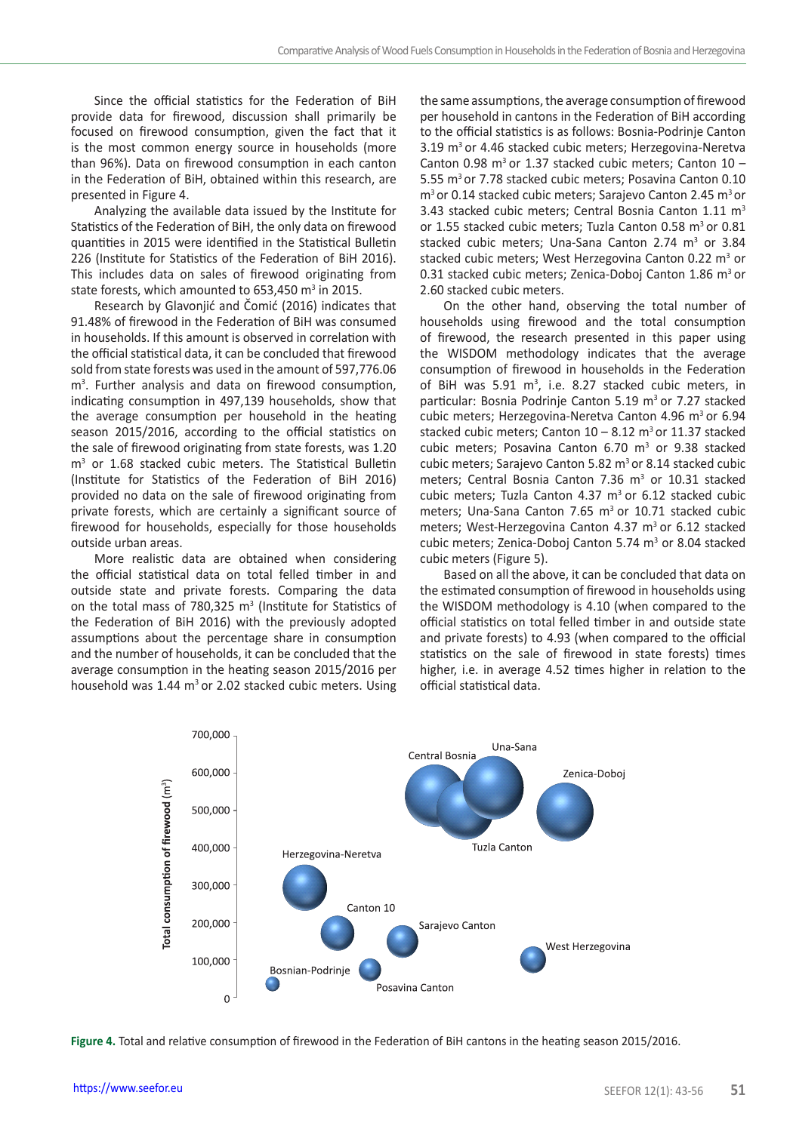Since the official statistics for the Federation of BiH provide data for firewood, discussion shall primarily be focused on firewood consumption, given the fact that it is the most common energy source in households (more than 96%). Data on firewood consumption in each canton in the Federation of BiH, obtained within this research, are presented in Figure 4.

Analyzing the available data issued by the Institute for Statistics of the Federation of BiH, the only data on firewood quantities in 2015 were identified in the Statistical Bulletin 226 (Institute for Statistics of the Federation of BiH 2016). This includes data on sales of firewood originating from state forests, which amounted to  $653,450$  m<sup>3</sup> in 2015.

Research by Glavonjić and Čomić (2016) indicates that 91.48% of firewood in the Federation of BiH was consumed in households. If this amount is observed in correlation with the official statistical data, it can be concluded that firewood sold from state forests was used in the amount of 597,776.06 m3 . Further analysis and data on firewood consumption, indicating consumption in 497,139 households, show that the average consumption per household in the heating season 2015/2016, according to the official statistics on the sale of firewood originating from state forests, was 1.20 m3 or 1.68 stacked cubic meters. The Statistical Bulletin (Institute for Statistics of the Federation of BiH 2016) provided no data on the sale of firewood originating from private forests, which are certainly a significant source of firewood for households, especially for those households outside urban areas.

More realistic data are obtained when considering the official statistical data on total felled timber in and outside state and private forests. Comparing the data on the total mass of 780,325  $m<sup>3</sup>$  (Institute for Statistics of the Federation of BiH 2016) with the previously adopted assumptions about the percentage share in consumption and the number of households, it can be concluded that the average consumption in the heating season 2015/2016 per household was  $1.44 \text{ m}^3$  or 2.02 stacked cubic meters. Using the same assumptions, the average consumption of firewood per household in cantons in the Federation of BiH according to the official statistics is as follows: Bosnia-Podrinje Canton 3.19 m<sup>3</sup> or 4.46 stacked cubic meters; Herzegovina-Neretva Canton 0.98  $m^3$  or 1.37 stacked cubic meters; Canton 10 -5.55 m<sup>3</sup> or 7.78 stacked cubic meters; Posavina Canton 0.10 m<sup>3</sup> or 0.14 stacked cubic meters; Sarajevo Canton 2.45 m<sup>3</sup> or 3.43 stacked cubic meters; Central Bosnia Canton  $1.11 \text{ m}^3$ or 1.55 stacked cubic meters: Tuzla Canton 0.58 m<sup>3</sup> or 0.81 stacked cubic meters; Una-Sana Canton 2.74  $m<sup>3</sup>$  or 3.84 stacked cubic meters; West Herzegovina Canton 0.22 m<sup>3</sup> or 0.31 stacked cubic meters; Zenica-Doboj Canton 1.86 m<sup>3</sup> or 2.60 stacked cubic meters.

On the other hand, observing the total number of households using firewood and the total consumption of firewood, the research presented in this paper using the WISDOM methodology indicates that the average consumption of firewood in households in the Federation of BiH was  $5.91 \text{ m}^3$ , i.e. 8.27 stacked cubic meters, in particular: Bosnia Podrinje Canton 5.19 m<sup>3</sup> or 7.27 stacked cubic meters; Herzegovina-Neretva Canton 4.96 m<sup>3</sup> or 6.94 stacked cubic meters: Canton  $10 - 8.12$  m<sup>3</sup> or 11.37 stacked cubic meters; Posavina Canton  $6.70 \, \text{m}^3$  or 9.38 stacked cubic meters: Sarajevo Canton 5.82  $m<sup>3</sup>$  or 8.14 stacked cubic meters; Central Bosnia Canton  $7.36 \, \text{m}^3$  or  $10.31$  stacked cubic meters; Tuzla Canton  $4.37 \text{ m}^3$  or  $6.12$  stacked cubic meters; Una-Sana Canton 7.65 m<sup>3</sup> or 10.71 stacked cubic meters; West-Herzegovina Canton 4.37  $m<sup>3</sup>$  or 6.12 stacked cubic meters; Zenica-Doboj Canton 5.74  $m<sup>3</sup>$  or 8.04 stacked cubic meters (Figure 5).

Based on all the above, it can be concluded that data on the estimated consumption of firewood in households using the WISDOM methodology is 4.10 (when compared to the official statistics on total felled timber in and outside state and private forests) to 4.93 (when compared to the official statistics on the sale of firewood in state forests) times higher, i.e. in average 4.52 times higher in relation to the official statistical data.



**Figure 4.** Total and relative consumption of firewood in the Federation of BiH cantons in the heating season 2015/2016.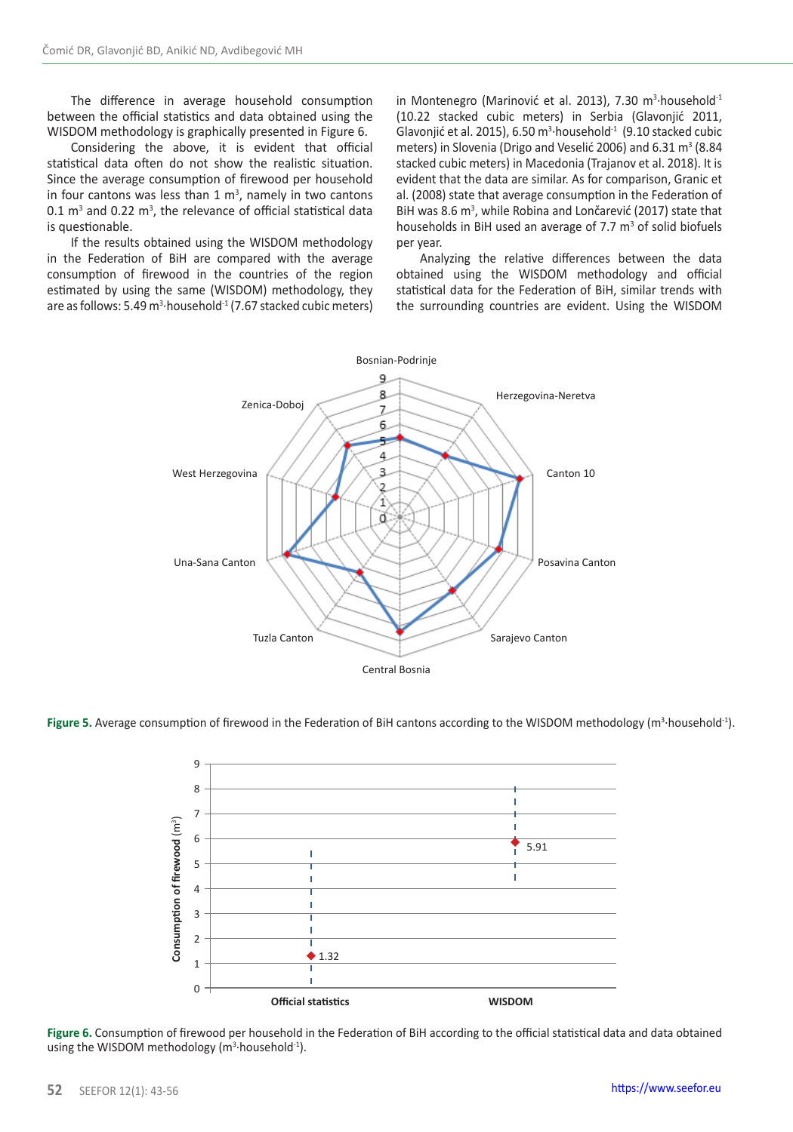The difference in average household consumption between the official statistics and data obtained using the WISDOM methodology is graphically presented in Figure 6.

Considering the above, it is evident that official statistical data often do not show the realistic situation. Since the average consumption of firewood per household in four cantons was less than  $1 \text{ m}^3$ , namely in two cantons  $0.1 \text{ m}^3$  and  $0.22 \text{ m}^3$ , the relevance of official statistical data is questionable.

If the results obtained using the WISDOM methodology in the Federation of BiH are compared with the average consumption of firewood in the countries of the region estimated by using the same (WISDOM) methodology, they are as follows: 5.49 m<sup>3.</sup>household<sup>-1</sup> (7.67 stacked cubic meters)

in Montenegro (Marinović et al. 2013), 7.30 m3 ∙household-1 (10.22 stacked cubic meters) in Serbia (Glavonjić 2011, Glavonjić et al. 2015), 6.50 m<sup>3</sup> household $1$  (9.10 stacked cubic meters) in Slovenia (Drigo and Veselić 2006) and  $6.31 \text{ m}^3$  (8.84 stacked cubic meters) in Macedonia (Trajanov et al. 2018). It is evident that the data are similar. As for comparison, Granic et al. (2008) state that average consumption in the Federation of BiH was 8.6 m<sup>3</sup>, while Robina and Lončarević (2017) state that households in BiH used an average of 7.7  $m<sup>3</sup>$  of solid biofuels per year.

Analyzing the relative differences between the data obtained using the WISDOM methodology and official statistical data for the Federation of BiH, similar trends with the surrounding countries are evident. Using the WISDOM



**Figure 5.** Average consumption of firewood in the Federation of BiH cantons according to the WISDOM methodology (m<sup>3</sup>·household<sup>-1</sup>).



**Figure 6.** Consumption of firewood per household in the Federation of BiH according to the official statistical data and data obtained using the WISDOM methodology (m<sup>3</sup>·household<sup>-1</sup>).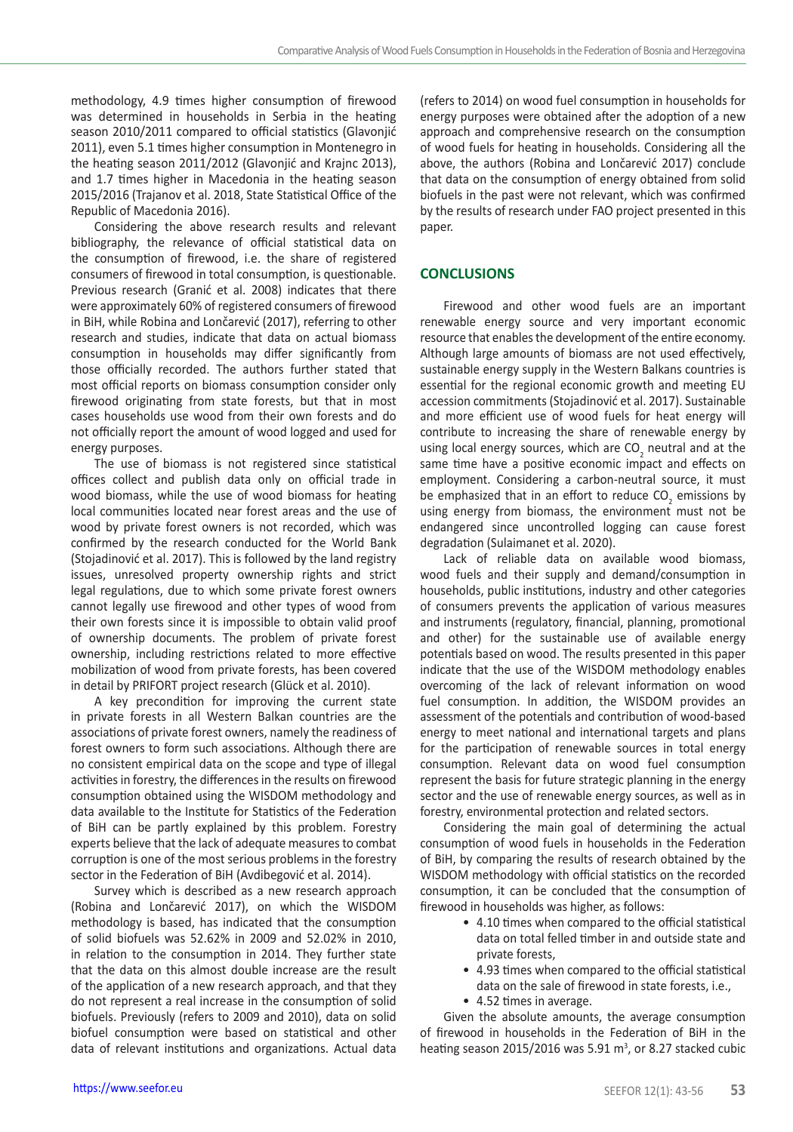methodology, 4.9 times higher consumption of firewood was determined in households in Serbia in the heating season 2010/2011 compared to official statistics (Glavonjić 2011), even 5.1 times higher consumption in Montenegro in the heating season 2011/2012 (Glavonjić and Krajnc 2013), and 1.7 times higher in Macedonia in the heating season 2015/2016 (Trajanov et al. 2018, State Statistical Office of the Republic of Macedonia 2016).

Considering the above research results and relevant bibliography, the relevance of official statistical data on the consumption of firewood, i.e. the share of registered consumers of firewood in total consumption, is questionable. Previous research (Granić et al. 2008) indicates that there were approximately 60% of registered consumers of firewood in BiH, while Robina and Lončarević (2017), referring to other research and studies, indicate that data on actual biomass consumption in households may differ significantly from those officially recorded. The authors further stated that most official reports on biomass consumption consider only firewood originating from state forests, but that in most cases households use wood from their own forests and do not officially report the amount of wood logged and used for energy purposes.

The use of biomass is not registered since statistical offices collect and publish data only on official trade in wood biomass, while the use of wood biomass for heating local communities located near forest areas and the use of wood by private forest owners is not recorded, which was confirmed by the research conducted for the World Bank (Stojadinović et al. 2017). This is followed by the land registry issues, unresolved property ownership rights and strict legal regulations, due to which some private forest owners cannot legally use firewood and other types of wood from their own forests since it is impossible to obtain valid proof of ownership documents. The problem of private forest ownership, including restrictions related to more effective mobilization of wood from private forests, has been covered in detail by PRIFORT project research (Glück et al. 2010).

A key precondition for improving the current state in private forests in all Western Balkan countries are the associations of private forest owners, namely the readiness of forest owners to form such associations. Although there are no consistent empirical data on the scope and type of illegal activities in forestry, the differences in the results on firewood consumption obtained using the WISDOM methodology and data available to the Institute for Statistics of the Federation of BiH can be partly explained by this problem. Forestry experts believe that the lack of adequate measures to combat corruption is one of the most serious problems in the forestry sector in the Federation of BiH (Avdibegović et al. 2014).

Survey which is described as a new research approach (Robina and Lončarević 2017), on which the WISDOM methodology is based, has indicated that the consumption of solid biofuels was 52.62% in 2009 and 52.02% in 2010, in relation to the consumption in 2014. They further state that the data on this almost double increase are the result of the application of a new research approach, and that they do not represent a real increase in the consumption of solid biofuels. Previously (refers to 2009 and 2010), data on solid biofuel consumption were based on statistical and other data of relevant institutions and organizations. Actual data

(refers to 2014) on wood fuel consumption in households for energy purposes were obtained after the adoption of a new approach and comprehensive research on the consumption of wood fuels for heating in households. Considering all the above, the authors (Robina and Lončarević 2017) conclude that data on the consumption of energy obtained from solid biofuels in the past were not relevant, which was confirmed by the results of research under FAO project presented in this paper.

# **CONCLUSIONS**

Firewood and other wood fuels are an important renewable energy source and very important economic resource that enables the development of the entire economy. Although large amounts of biomass are not used effectively, sustainable energy supply in the Western Balkans countries is essential for the regional economic growth and meeting EU accession commitments (Stojadinović et al. 2017). Sustainable and more efficient use of wood fuels for heat energy will contribute to increasing the share of renewable energy by using local energy sources, which are  $CO<sub>2</sub>$  neutral and at the same time have a positive economic impact and effects on employment. Considering a carbon-neutral source, it must be emphasized that in an effort to reduce  $CO<sub>2</sub>$  emissions by using energy from biomass, the environment must not be endangered since uncontrolled logging can cause forest degradation (Sulaimanet et al. 2020).

Lack of reliable data on available wood biomass, wood fuels and their supply and demand/consumption in households, public institutions, industry and other categories of consumers prevents the application of various measures and instruments (regulatory, financial, planning, promotional and other) for the sustainable use of available energy potentials based on wood. The results presented in this paper indicate that the use of the WISDOM methodology enables overcoming of the lack of relevant information on wood fuel consumption. In addition, the WISDOM provides an assessment of the potentials and contribution of wood-based energy to meet national and international targets and plans for the participation of renewable sources in total energy consumption. Relevant data on wood fuel consumption represent the basis for future strategic planning in the energy sector and the use of renewable energy sources, as well as in forestry, environmental protection and related sectors.

Considering the main goal of determining the actual consumption of wood fuels in households in the Federation of BiH, by comparing the results of research obtained by the WISDOM methodology with official statistics on the recorded consumption, it can be concluded that the consumption of firewood in households was higher, as follows:

- 4.10 times when compared to the official statistical data on total felled timber in and outside state and private forests,
- 4.93 times when compared to the official statistical data on the sale of firewood in state forests, i.e.,
- 4.52 times in average.

Given the absolute amounts, the average consumption of firewood in households in the Federation of BiH in the heating season 2015/2016 was 5.91  $m<sup>3</sup>$ , or 8.27 stacked cubic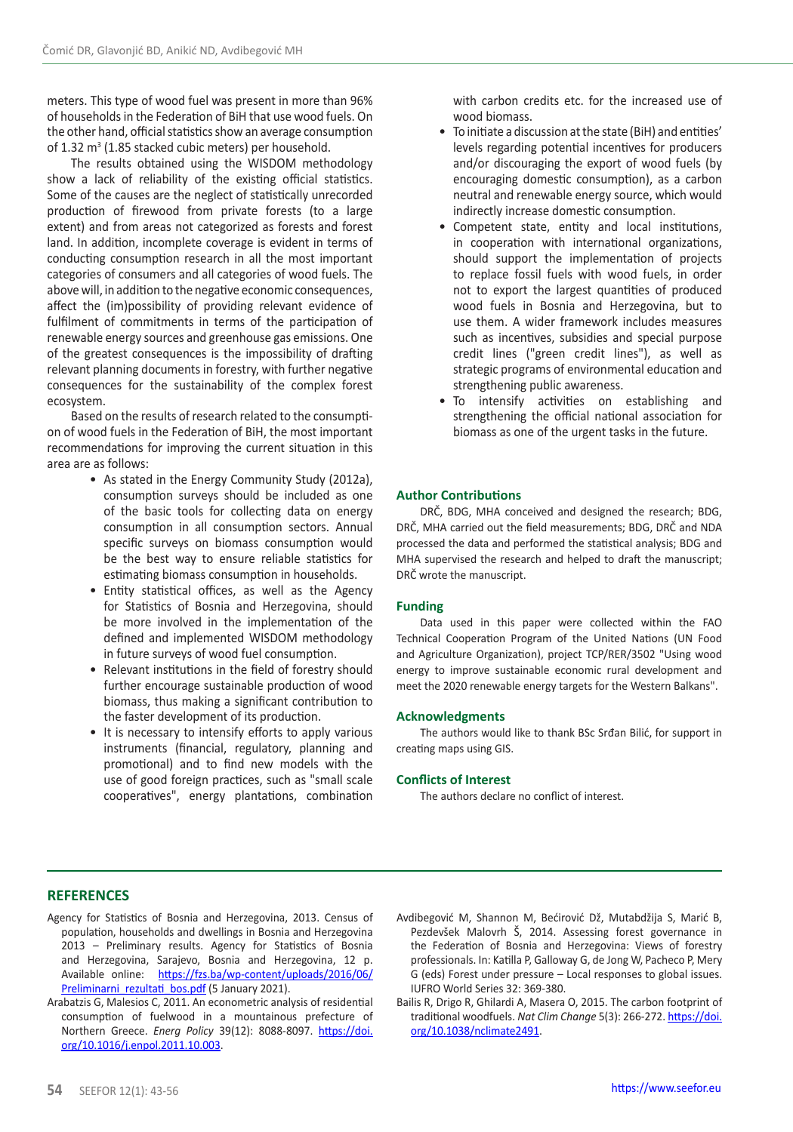meters. This type of wood fuel was present in more than 96% of households in the Federation of BiH that use wood fuels. On the other hand, official statistics show an average consumption of 1.32 m3 (1.85 stacked cubic meters) per household.

The results obtained using the WISDOM methodology show a lack of reliability of the existing official statistics. Some of the causes are the neglect of statistically unrecorded production of firewood from private forests (to a large extent) and from areas not categorized as forests and forest land. In addition, incomplete coverage is evident in terms of conducting consumption research in all the most important categories of consumers and all categories of wood fuels. The above will, in addition to the negative economic consequences, affect the (im)possibility of providing relevant evidence of fulfilment of commitments in terms of the participation of renewable energy sources and greenhouse gas emissions. One of the greatest consequences is the impossibility of drafting relevant planning documents in forestry, with further negative consequences for the sustainability of the complex forest ecosystem.

Based on the results of research related to the consumption of wood fuels in the Federation of BiH, the most important recommendations for improving the current situation in this area are as follows:

- As stated in the Energy Community Study (2012a), consumption surveys should be included as one of the basic tools for collecting data on energy consumption in all consumption sectors. Annual specific surveys on biomass consumption would be the best way to ensure reliable statistics for estimating biomass consumption in households.
- Entity statistical offices, as well as the Agency for Statistics of Bosnia and Herzegovina, should be more involved in the implementation of the defined and implemented WISDOM methodology in future surveys of wood fuel consumption.
- Relevant institutions in the field of forestry should further encourage sustainable production of wood biomass, thus making a significant contribution to the faster development of its production.
- It is necessary to intensify efforts to apply various instruments (financial, regulatory, planning and promotional) and to find new models with the use of good foreign practices, such as "small scale cooperatives", energy plantations, combination

with carbon credits etc. for the increased use of wood biomass.

- To initiate a discussion at the state (BiH) and entities' levels regarding potential incentives for producers and/or discouraging the export of wood fuels (by encouraging domestic consumption), as a carbon neutral and renewable energy source, which would indirectly increase domestic consumption.
- Competent state, entity and local institutions, in cooperation with international organizations, should support the implementation of projects to replace fossil fuels with wood fuels, in order not to export the largest quantities of produced wood fuels in Bosnia and Herzegovina, but to use them. A wider framework includes measures such as incentives, subsidies and special purpose credit lines ("green credit lines"), as well as strategic programs of environmental education and strengthening public awareness.
- To intensify activities on establishing and strengthening the official national association for biomass as one of the urgent tasks in the future.

## **Author Contributions**

DRČ, BDG, MHA conceived and designed the research; BDG, DRČ, MHA carried out the field measurements; BDG, DRČ and NDA processed the data and performed the statistical analysis; BDG and MHA supervised the research and helped to draft the manuscript; DRČ wrote the manuscript.

### **Funding**

Data used in this paper were collected within the FAO Technical Cooperation Program of the United Nations (UN Food and Agriculture Organization), project TCP/RER/3502 "Using wood energy to improve sustainable economic rural development and meet the 2020 renewable energy targets for the Western Balkans".

#### **Acknowledgments**

The authors would like to thank BSc Srđan Bilić, for support in creating maps using GIS.

#### **Conflicts of Interest**

The authors declare no conflict of interest.

# **REFERENCES**

- Agency for Statistics of Bosnia and Herzegovina, 2013. Census of population, households and dwellings in Bosnia and Herzegovina 2013 – Preliminary results. Agency for Statistics of Bosnia and Herzegovina, Sarajevo, Bosnia and Herzegovina, 12 p. Available online: [https://fzs.ba/wp-content/uploads/2016/06/](https://fzs.ba/wp-content/uploads/2016/06/Preliminarni_rezultati_bos.pdf) [Preliminarni\\_rezultati\\_bos.pdf](https://fzs.ba/wp-content/uploads/2016/06/Preliminarni_rezultati_bos.pdf) (5 January 2021).
- Arabatzis G, Malesios C, 2011. An econometric analysis of residential consumption of fuelwood in a mountainous prefecture of Northern Greece. *Energ Policy* 39(12): 8088-8097. [https://doi.](https://doi.org/10.1016/j.enpol.2011.10.003) [org/10.1016/j.enpol.2011.10.003](https://doi.org/10.1016/j.enpol.2011.10.003).
- Avdibegović M, Shannon M, Bećirović Dž, Mutabdžija S, Marić B, Pezdevšek Malovrh Š, 2014. Assessing forest governance in the Federation of Bosnia and Herzegovina: Views of forestry professionals. In: Katilla P, Galloway G, de Jong W, Pacheco P, Mery G (eds) Forest under pressure – Local responses to global issues. IUFRO World Series 32: 369-380.
- Bailis R, Drigo R, Ghilardi A, Masera O, 2015. The carbon footprint of traditional woodfuels. *Nat Clim Change* 5(3): 266-272. [https://doi.](https://doi.org/10.1038/nclimate2491) [org/10.1038/nclimate2491.](https://doi.org/10.1038/nclimate2491)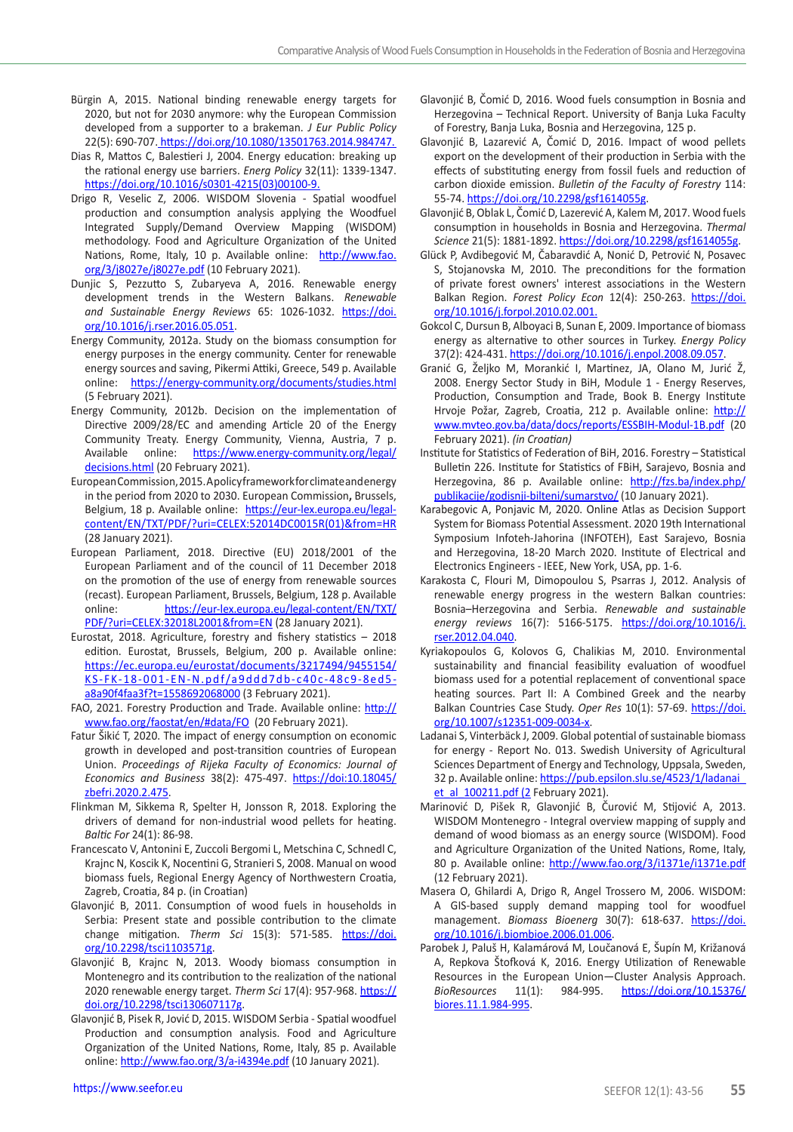- Bürgin A, 2015. National binding renewable energy targets for 2020, but not for 2030 anymore: why the European Commission developed from a supporter to a brakeman. *J Eur Public Policy* 22(5): 690-707. [https://doi.org/10.1080/13501763.2014.984747.](https://doi.org/10.1080/13501763.2014.984747.)
- Dias R, Mattos C, Balestieri J, 2004. Energy education: breaking up the rational energy use barriers. *Energ Policy* 32(11): 1339-1347. [https://doi.org/10.1016/s0301-4215\(03\)00100-9](https://doi.org/10.1016/s0301-4215(03)00100-9).
- Drigo R, Veselic Z, 2006. WISDOM Slovenia Spatial woodfuel production and consumption analysis applying the Woodfuel Integrated Supply/Demand Overview Mapping (WISDOM) methodology. Food and Agriculture Organization of the United Nations, Rome, Italy, 10 p. Available online: [http://www.fao.](http://www.fao.org/3/j8027e/j8027e.pdf) [org/3/j8027e/j8027e.pdf](http://www.fao.org/3/j8027e/j8027e.pdf) (10 February 2021).
- Dunjic S, Pezzutto S, Zubaryeva A, 2016. Renewable energy development trends in the Western Balkans. *Renewable and Sustainable Energy Reviews* 65: 1026-1032. [https://doi.](https://doi.org/10.1016/j.rser.2016.05.051) [org/10.1016/j.rser.2016.05.051.](https://doi.org/10.1016/j.rser.2016.05.051)
- Energy Community, 2012a. Study on the biomass consumption for energy purposes in the energy community. Center for renewable energy sources and saving, Pikermi Attiki, Greece, 549 p. Available online: <https://energy-community.org/documents/studies.html> (5 February 2021).
- Energy Community, 2012b. Decision on the implementation of Directive 2009/28/EC and amending Article 20 of the Energy Community Treaty. Energy Community, Vienna, Austria, 7 p. Available online: [https://www.energy-community.org/legal/](https://www.energy-community.org/legal/decisions.html) [decisions.html](https://www.energy-community.org/legal/decisions.html) (20 February 2021).
- European Commission, 2015. A policy framework for climate and energy in the period from 2020 to 2030. European Commission**,** Brussels, Belgium, 18 p. Available online: [https://eur-lex.europa.eu/legal](https://eur-lex.europa.eu/legal-content/EN/TXT/PDF/?uri=CELEX:52014DC0015R(01)&from=HR)[content/EN/TXT/PDF/?uri=CELEX:52014DC0015R\(01\)&from=HR](https://eur-lex.europa.eu/legal-content/EN/TXT/PDF/?uri=CELEX:52014DC0015R(01)&from=HR) (28 January 2021).
- European Parliament, 2018. Directive (EU) 2018/2001 of the European Parliament and of the council of 11 December 2018 on the promotion of the use of energy from renewable sources (recast). European Parliament, Brussels, Belgium, 128 p. Available online: [https://eur-lex.europa.eu/legal-content/EN/TXT/](https://eur-lex.europa.eu/legal-content/EN/TXT/PDF/?uri=CELEX:32018L2001&from=EN) [PDF/?uri=CELEX:32018L2001&from=EN](https://eur-lex.europa.eu/legal-content/EN/TXT/PDF/?uri=CELEX:32018L2001&from=EN) (28 January 2021).
- Eurostat, 2018. Agriculture, forestry and fishery statistics 2018 edition. Eurostat, Brussels, Belgium, 200 p. Available online: [https://ec.europa.eu/eurostat/documents/3217494/9455154/](https://ec.europa.eu/eurostat/documents/3217494/9455154/KS-FK-18-001-EN-N.pdf/a9ddd7db-c40c-48c9-8ed5-a8a90f4faa3f?t=1558692068000) [KS-FK-18-001-EN-N.pdf/a9ddd7db-c40c-48c9-8ed5](https://ec.europa.eu/eurostat/documents/3217494/9455154/KS-FK-18-001-EN-N.pdf/a9ddd7db-c40c-48c9-8ed5-a8a90f4faa3f?t=1558692068000) [a8a90f4faa3f?t=1558692068000](https://ec.europa.eu/eurostat/documents/3217494/9455154/KS-FK-18-001-EN-N.pdf/a9ddd7db-c40c-48c9-8ed5-a8a90f4faa3f?t=1558692068000) (3 February 2021).
- FAO, 2021. Forestry Production and Trade. Available online: [http://](http://www.fao.org/faostat/en/) [www.fao.org/faostat/en/#data/FO](http://www.fao.org/faostat/en/) (20 February 2021).
- Fatur Šikić T, 2020. The impact of energy consumption on economic growth in developed and post-transition countries of European Union. *Proceedings of Rijeka Faculty of Economics: Journal of Economics and Business* 38(2): 475-497. [https://doi:10.18045/](https://doi:10.18045/zbefri.2020.2.475) [zbefri.2020.2.475](https://doi:10.18045/zbefri.2020.2.475).
- Flinkman M, Sikkema R, Spelter H, Jonsson R, 2018. Exploring the drivers of demand for non-industrial wood pellets for heating. *Baltic For* 24(1): 86-98.
- Francescato V, Antonini E, Zuccoli Bergomi L, Metschina C, Schnedl C, Krajnc N, Koscik K, Nocentini G, Stranieri S, 2008. Manual on wood biomass fuels, Regional Energy Agency of Northwestern Croatia, Zagreb, Croatia, 84 p. (in Croatian)
- Glavonjić B, 2011. Consumption of wood fuels in households in Serbia: Present state and possible contribution to the climate change mitigation. *Therm Sci* 15(3): 571-585. [https://doi.](https://doi.org/10.2298/tsci1103571g) [org/10.2298/tsci1103571g](https://doi.org/10.2298/tsci1103571g).
- Glavonjić B, Krajnc N, 2013. Woody biomass consumption in Montenegro and its contribution to the realization of the national 2020 renewable energy target. *Therm Sci* 17(4): 957-968. [https://](https://doi.org/10.2298/tsci130607117g) [doi.org/10.2298/tsci130607117g](https://doi.org/10.2298/tsci130607117g).
- Glavonjić B, Pisek R, Jović D, 2015. WISDOM Serbia Spatial woodfuel Production and consumption analysis. Food and Agriculture Organization of the United Nations, Rome, Italy, 85 p. Available online:<http://www.fao.org/3/a-i4394e.pdf>(10 January 2021).
- Glavonjić B, Čomić D, 2016. Wood fuels consumption in Bosnia and Herzegovina – Technical Report. University of Banja Luka Faculty of Forestry, Banja Luka, Bosnia and Herzegovina, 125 p.
- Glavonjić B, Lazarević A, Čomić D, 2016. Impact of wood pellets export on the development of their production in Serbia with the effects of substituting energy from fossil fuels and reduction of carbon dioxide emission. *Bulletin of the Faculty of Forestry* 114: 55-74. [https://doi.org/10.2298/gsf1614055g.](https://doi.org/10.2298/gsf1614055g)
- Glavonjić B, Oblak L, Čomić D, Lazerević A, Kalem M, 2017. Wood fuels consumption in households in Bosnia and Herzegovina. *Thermal Science* 21(5): 1881-1892. <https://doi.org/10.2298/gsf1614055g>.
- Glück P, Avdibegović M, Čabaravdić A, Nonić D, Petrović N, Posavec S, Stojanovska M, 2010. The preconditions for the formation of private forest owners' interest associations in the Western Balkan Region. *Forest Policy Econ* 12(4): 250-263. https://doi. org/10.1016/j.forpol.2010.02.001.
- Gokcol C, Dursun B, Alboyaci B, Sunan E, 2009. Importance of biomass energy as alternative to other sources in Turkey. *Energy Policy* 37(2): 424-431.<https://doi.org/10.1016/j.enpol.2008.09.057>.
- Granić G, Željko M, Morankić I, Martinez, JA, Olano M, Jurić Ž, 2008. Energy Sector Study in BiH, Module 1 - Energy Reserves, Production, Consumption and Trade, Book B. Energy Institute Hrvoje Požar, Zagreb, Croatia, 212 p. Available online: [http://](http://www.mvteo.gov.ba/data/docs/reports/ESSBIH-Modul-1B.pdf) [www.mvteo.gov.ba/data/docs/reports/ESSBIH-Modul-1B.pdf](http://www.mvteo.gov.ba/data/docs/reports/ESSBIH-Modul-1B.pdf) (20 February 2021). *(in Croatian)*
- Institute for Statistics of Federation of BiH, 2016. Forestry Statistical Bulletin 226. Institute for Statistics of FBiH, Sarajevo, Bosnia and Herzegovina, 86 p. Available online: [http://fzs.ba/index.php/](http://fzs.ba/index.php/publikacije/godisnji-bilteni/sumarstvo/) [publikacije/godisnji-bilteni/sumarstvo/](http://fzs.ba/index.php/publikacije/godisnji-bilteni/sumarstvo/) (10 January 2021).
- Karabegovic A, Ponjavic M, 2020. Online Atlas as Decision Support System for Biomass Potential Assessment. 2020 19th International Symposium Infoteh-Jahorina (INFOTEH), East Sarajevo, Bosnia and Herzegovina, 18-20 March 2020. Institute of Electrical and Electronics Engineers - IEEE, New York, USA, pp. 1-6.
- Karakosta C, Flouri M, Dimopoulou S, Psarras J, 2012. Analysis of renewable energy progress in the western Balkan countries: Bosnia–Herzegovina and Serbia. *Renewable and sustainable energy reviews* 16(7): 5166-5175. https://doi.org/10.1016/j. rser.2012.04.040.
- Kyriakopoulos G, Kolovos G, Chalikias M, 2010. Environmental sustainability and financial feasibility evaluation of woodfuel biomass used for a potential replacement of conventional space heating sources. Part II: A Combined Greek and the nearby Balkan Countries Case Study. *Oper Res* 10(1): 57-69. [https://doi.](https://doi.org/10.1007/s12351-009-0034-x) [org/10.1007/s12351-009-0034-x](https://doi.org/10.1007/s12351-009-0034-x).
- Ladanai S, Vinterbäck J, 2009. Global potential of sustainable biomass for energy - Report No. 013. Swedish University of Agricultural Sciences Department of Energy and Technology, Uppsala, Sweden, 32 p. Available online: https://pub.epsilon.slu.se/4523/1/ladanai [et\\_al\\_100211.pdf \(2](https://pub.epsilon.slu.se/4523/1/ladanai_et_al_100211.pdf (2) February 2021).
- Marinović D, Pišek R, Glavonjić B, Čurović M, Stijović A, 2013. WISDOM Montenegro - Integral overview mapping of supply and demand of wood biomass as an energy source (WISDOM). Food and Agriculture Organization of the United Nations, Rome, Italy, 80 p. Available online: [http://www.fao.org/3/i1371e/i1371e.pdf](http://www.fao.org/3/i1371e/i1371e.pdf ) (12 February 2021).
- Masera O, Ghilardi A, Drigo R, Angel Trossero M, 2006. WISDOM: A GIS-based supply demand mapping tool for woodfuel management. *Biomass Bioenerg* 30(7): 618-637. [https://doi.](https://doi.org/10.1016/j.biombioe.2006.01.006) [org/10.1016/j.biombioe.2006.01.006](https://doi.org/10.1016/j.biombioe.2006.01.006).
- Parobek J, Paluš H, Kalamárová M, Loučanová E, Šupín M, Križanová A, Repkova Štofková K, 2016. Energy Utilization of Renewable Resources in the European Union―Cluster Analysis Approach. *BioResources* 11(1): 984-995. [https://doi.org/10.15376/](https://doi.org/10.15376/biores.11.1.984-995) [biores.11.1.984-995](https://doi.org/10.15376/biores.11.1.984-995).